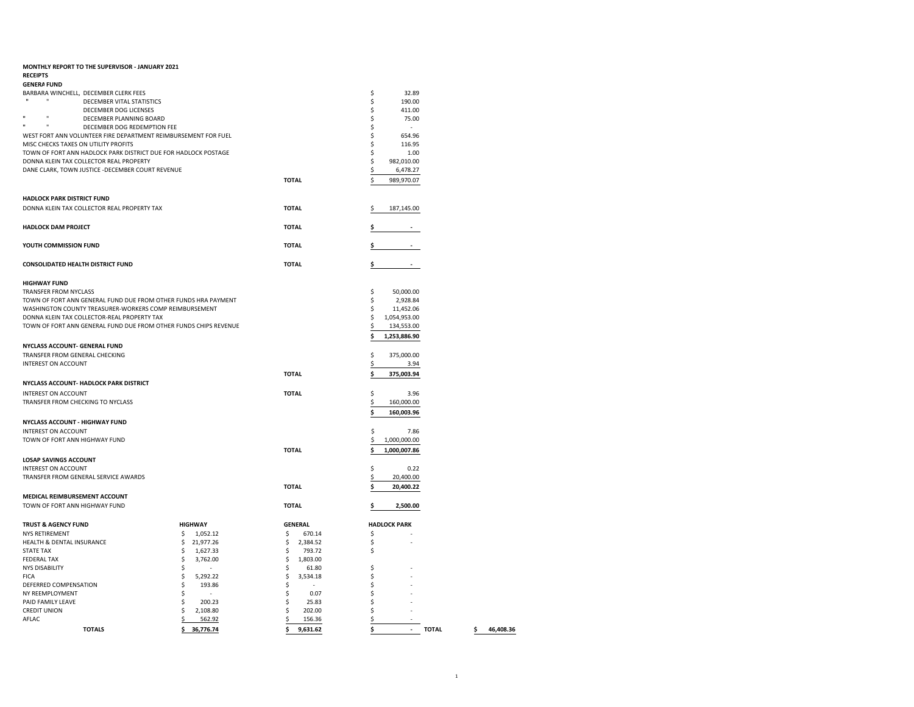| MONTHLY REPORT TO THE SUPERVISOR - JANUARY 2021                                               |                                      |                           |                          |
|-----------------------------------------------------------------------------------------------|--------------------------------------|---------------------------|--------------------------|
| <b>RECEIPTS</b><br><b>GENERA FUND</b>                                                         |                                      |                           |                          |
| BARBARA WINCHELL, DECEMBER CLERK FEES                                                         |                                      |                           | \$<br>32.89              |
| $\mathbf{u}$<br>DECEMBER VITAL STATISTICS                                                     |                                      |                           | \$<br>190.00             |
| DECEMBER DOG LICENSES                                                                         |                                      |                           | \$<br>411.00             |
| $\mathbf{u}$<br>DECEMBER PLANNING BOARD<br>Ħ<br>H.                                            |                                      |                           | \$<br>75.00              |
| DECEMBER DOG REDEMPTION FEE<br>WEST FORT ANN VOLUNTEER FIRE DEPARTMENT REIMBURSEMENT FOR FUEL |                                      |                           | \$<br>÷.<br>654.96<br>\$ |
| MISC CHECKS TAXES ON UTILITY PROFITS                                                          |                                      |                           | \$<br>116.95             |
| TOWN OF FORT ANN HADLOCK PARK DISTRICT DUE FOR HADLOCK POSTAGE                                |                                      |                           | \$<br>1.00               |
| DONNA KLEIN TAX COLLECTOR REAL PROPERTY                                                       |                                      |                           | \$<br>982,010.00         |
| DANE CLARK, TOWN JUSTICE -DECEMBER COURT REVENUE                                              |                                      |                           | 6,478.27<br>\$           |
|                                                                                               |                                      | <b>TOTAL</b>              | 989,970.07               |
|                                                                                               |                                      |                           |                          |
| <b>HADLOCK PARK DISTRICT FUND</b>                                                             |                                      |                           |                          |
| DONNA KLEIN TAX COLLECTOR REAL PROPERTY TAX                                                   |                                      | <b>TOTAL</b>              | 187,145.00<br>S          |
| <b>HADLOCK DAM PROJECT</b>                                                                    |                                      | <b>TOTAL</b>              | Ş                        |
| YOUTH COMMISSION FUND                                                                         |                                      | <b>TOTAL</b>              | Ś.<br>$\blacksquare$     |
|                                                                                               |                                      |                           |                          |
| CONSOLIDATED HEALTH DISTRICT FUND                                                             |                                      | <b>TOTAL</b>              | s                        |
| <b>HIGHWAY FUND</b>                                                                           |                                      |                           |                          |
| <b>TRANSFER FROM NYCLASS</b>                                                                  |                                      |                           | \$<br>50,000.00          |
| TOWN OF FORT ANN GENERAL FUND DUE FROM OTHER FUNDS HRA PAYMENT                                |                                      |                           | \$<br>2,928.84           |
| WASHINGTON COUNTY TREASURER-WORKERS COMP REIMBURSEMENT                                        |                                      |                           | \$<br>11,452.06          |
| DONNA KLEIN TAX COLLECTOR-REAL PROPERTY TAX                                                   |                                      |                           | \$<br>1,054,953.00       |
| TOWN OF FORT ANN GENERAL FUND DUE FROM OTHER FUNDS CHIPS REVENUE                              |                                      |                           | 134,553.00<br>\$         |
| NYCLASS ACCOUNT- GENERAL FUND                                                                 |                                      |                           | \$<br>1,253,886.90       |
| TRANSFER FROM GENERAL CHECKING                                                                |                                      |                           | \$<br>375,000.00         |
| INTEREST ON ACCOUNT                                                                           |                                      |                           | \$<br>3.94               |
|                                                                                               |                                      | <b>TOTAL</b>              | 375,003.94               |
| NYCLASS ACCOUNT- HADLOCK PARK DISTRICT                                                        |                                      |                           |                          |
| INTEREST ON ACCOUNT                                                                           |                                      | <b>TOTAL</b>              | \$<br>3.96               |
| TRANSFER FROM CHECKING TO NYCLASS                                                             |                                      |                           | \$<br>160,000.00         |
|                                                                                               |                                      |                           | \$<br>160,003.96         |
| <b>NYCLASS ACCOUNT - HIGHWAY FUND</b>                                                         |                                      |                           |                          |
| INTEREST ON ACCOUNT                                                                           |                                      |                           | \$<br>7.86               |
| TOWN OF FORT ANN HIGHWAY FUND                                                                 |                                      |                           | \$<br>1,000,000.00       |
|                                                                                               |                                      | <b>TOTAL</b>              | \$<br>1,000,007.86       |
| <b>LOSAP SAVINGS ACCOUNT</b>                                                                  |                                      |                           |                          |
| <b>INTEREST ON ACCOUNT</b>                                                                    |                                      |                           | \$<br>0.22               |
| TRANSFER FROM GENERAL SERVICE AWARDS                                                          |                                      |                           | \$<br>20,400.00          |
| MEDICAL REIMBURSEMENT ACCOUNT                                                                 |                                      | <b>TOTAL</b>              | \$<br>20,400.22          |
| TOWN OF FORT ANN HIGHWAY FUND                                                                 |                                      | <b>TOTAL</b>              | 2,500.00<br>\$           |
| <b>TRUST &amp; AGENCY FUND</b>                                                                | <b>HIGHWAY</b>                       | <b>GENERAL</b>            | <b>HADLOCK PARK</b>      |
| NYS RETIREMENT                                                                                | 1,052.12<br>Ś                        | 670.14<br>\$              | \$                       |
| HEALTH & DENTAL INSURANCE                                                                     | \$<br>21,977.26                      | \$<br>2,384.52            | \$                       |
| <b>STATE TAX</b>                                                                              | \$<br>1,627.33                       | \$<br>793.72              | \$                       |
| <b>FEDERAL TAX</b>                                                                            | \$<br>3,762.00                       | \$<br>1,803.00            |                          |
| <b>NYS DISABILITY</b>                                                                         | \$<br>÷.                             | \$<br>61.80               | \$                       |
| <b>FICA</b>                                                                                   | \$<br>5,292.22                       | \$<br>3,534.18            | \$                       |
| DEFERRED COMPENSATION                                                                         | \$<br>193.86<br>\$<br>$\overline{a}$ | \$<br>$\epsilon$          | \$                       |
| NY REEMPLOYMENT<br>PAID FAMILY LEAVE                                                          | \$<br>200.23                         | \$<br>0.07<br>\$<br>25.83 | \$<br>\$                 |
| <b>CREDIT UNION</b>                                                                           |                                      |                           |                          |
|                                                                                               |                                      | 202.00                    |                          |
| AFLAC                                                                                         | \$<br>2,108.80<br>\$<br>562.92       | \$<br>\$<br>156.36        | \$<br>\$                 |

**TOTALS \$ 36,776.74 \$ 9,631.62 \$ - TOTAL \$ 46,408.36**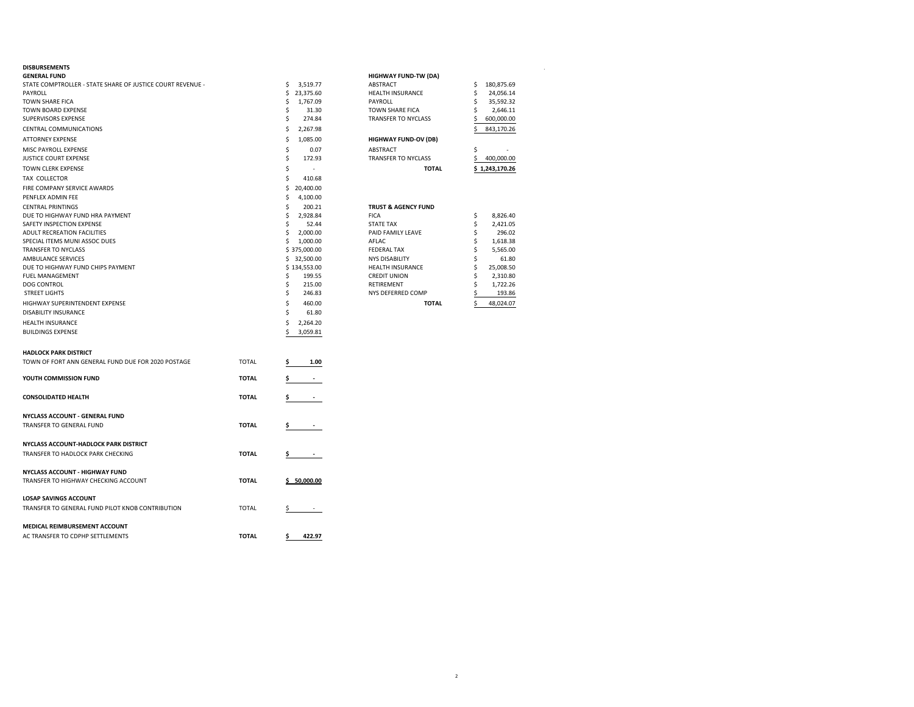| <b>DISBURSEMENTS</b>                                       |              |    |                          |                                |    |                |
|------------------------------------------------------------|--------------|----|--------------------------|--------------------------------|----|----------------|
| <b>GENERAL FUND</b>                                        |              |    |                          | <b>HIGHWAY FUND-TW (DA)</b>    |    |                |
| STATE COMPTROLLER - STATE SHARE OF JUSTICE COURT REVENUE - |              | \$ | 3,519.77                 | <b>ABSTRACT</b>                | Ŝ  | 180,875.69     |
| PAYROLL                                                    |              | \$ | 23,375.60                | HEALTH INSURANCE               | Ś  | 24,056.14      |
| <b>TOWN SHARE FICA</b>                                     |              | \$ | 1,767.09                 | PAYROLL                        | Ś  | 35,592.32      |
| <b>TOWN BOARD EXPENSE</b>                                  |              | Ś  | 31.30                    | <b>TOWN SHARE FICA</b>         | Ś  | 2,646.11       |
| SUPERVISORS EXPENSE                                        |              | Ś  | 274.84                   | <b>TRANSFER TO NYCLASS</b>     |    | 600,000.00     |
| CENTRAL COMMUNICATIONS                                     |              | Ś  | 2,267.98                 |                                | Ś  | 843,170.26     |
| <b>ATTORNEY EXPENSE</b>                                    |              | Ś  | 1,085.00                 | <b>HIGHWAY FUND-OV (DB)</b>    |    |                |
| MISC PAYROLL EXPENSE                                       |              | Ś  | 0.07                     | <b>ABSTRACT</b>                | Ŝ  |                |
| <b>JUSTICE COURT EXPENSE</b>                               |              | Ś  | 172.93                   | <b>TRANSFER TO NYCLASS</b>     | Ś  | 400,000.00     |
| TOWN CLERK EXPENSE                                         |              | Ś  | ٠                        | <b>TOTAL</b>                   |    | \$1,243,170.26 |
| TAX COLLECTOR                                              |              | Ś  | 410.68                   |                                |    |                |
| FIRE COMPANY SERVICE AWARDS                                |              | \$ | 20,400.00                |                                |    |                |
| PENFLEX ADMIN FEE                                          |              | Ś  | 4,100.00                 |                                |    |                |
| <b>CENTRAL PRINTINGS</b>                                   |              | \$ | 200.21                   | <b>TRUST &amp; AGENCY FUND</b> |    |                |
| DUE TO HIGHWAY FUND HRA PAYMENT                            |              | Ś  | 2,928.84                 | <b>FICA</b>                    | \$ | 8,826.40       |
| SAFETY INSPECTION EXPENSE                                  |              | Ś  | 52.44                    | <b>STATE TAX</b>               | \$ | 2,421.05       |
| ADULT RECREATION FACILITIES                                |              | \$ | 2,000.00                 | PAID FAMILY LEAVE              | Ś  | 296.02         |
| SPECIAL ITEMS MUNI ASSOC DUES                              |              | \$ | 1,000.00                 | AFLAC                          | Ś  | 1,618.38       |
| <b>TRANSFER TO NYCLASS</b>                                 |              |    | \$375,000.00             | <b>FEDERAL TAX</b>             | Ś  | 5,565.00       |
| AMBULANCE SERVICES                                         |              |    | \$32,500.00              | <b>NYS DISABILITY</b>          | Ś  | 61.80          |
| DUE TO HIGHWAY FUND CHIPS PAYMENT                          |              |    | \$134,553.00             | <b>HEALTH INSURANCE</b>        | Ŝ  | 25,008.50      |
| <b>FUEL MANAGEMENT</b>                                     |              | Ś  | 199.55                   | <b>CREDIT UNION</b>            |    | 2,310.80       |
| <b>DOG CONTROL</b>                                         |              | \$ | 215.00                   | RETIREMENT                     |    | 1,722.26       |
| <b>STREET LIGHTS</b>                                       |              | \$ | 246.83                   | NYS DEFERRED COMP              |    | 193.86         |
| HIGHWAY SUPERINTENDENT EXPENSE                             |              | Ś  | 460.00                   | <b>TOTAL</b>                   | Ś  | 48,024.07      |
| <b>DISABILITY INSURANCE</b>                                |              | Ś  | 61.80                    |                                |    |                |
| HEALTH INSURANCE                                           |              | Ś  | 2,264.20                 |                                |    |                |
| <b>BUILDINGS EXPENSE</b>                                   |              | Ś  | 3,059.81                 |                                |    |                |
|                                                            |              |    |                          |                                |    |                |
| <b>HADLOCK PARK DISTRICT</b>                               |              |    |                          |                                |    |                |
| TOWN OF FORT ANN GENERAL FUND DUE FOR 2020 POSTAGE         | <b>TOTAL</b> |    | 1.00                     |                                |    |                |
| YOUTH COMMISSION FUND                                      | <b>TOTAL</b> | s  |                          |                                |    |                |
|                                                            |              |    |                          |                                |    |                |
| <b>CONSOLIDATED HEALTH</b>                                 | <b>TOTAL</b> |    | $\overline{\phantom{a}}$ |                                |    |                |
|                                                            |              |    |                          |                                |    |                |
| <b>NYCLASS ACCOUNT - GENERAL FUND</b>                      |              |    |                          |                                |    |                |
| <b>TRANSFER TO GENERAL FUND</b>                            | <b>TOTAL</b> |    |                          |                                |    |                |
|                                                            |              |    |                          |                                |    |                |
| NYCLASS ACCOUNT-HADLOCK PARK DISTRICT                      |              |    |                          |                                |    |                |
| TRANSFER TO HADLOCK PARK CHECKING                          | <b>TOTAL</b> | \$ | $\overline{\phantom{a}}$ |                                |    |                |
|                                                            |              |    |                          |                                |    |                |

| <b>TOTAL</b>                |    | \$1.243.170.26 |
|-----------------------------|----|----------------|
| <b>TRANSFER TO NYCLASS</b>  |    | 400.000.00     |
| <b>ABSTRACT</b>             | Ś  |                |
| <b>HIGHWAY FUND-OV (DB)</b> |    |                |
|                             | \$ | 843.170.26     |
| <b>TRANSFER TO NYCLASS</b>  | \$ | 600.000.00     |
| <b>TOWN SHARE FICA</b>      | \$ | 2.646.11       |
| PAYROLL                     | \$ | 35.592.32      |
| <b>HEALTH INSURANCE</b>     | \$ | 24.056.14      |
| <b>ABSTRACT</b>             | \$ | 180.875.69     |
| <b>HIGHWAY FUND-TW (DA)</b> |    |                |
|                             |    |                |

| <b>TRUST &amp; AGENCY FUND</b> |    |           |
|--------------------------------|----|-----------|
| <b>FICA</b>                    | \$ | 8.826.40  |
| <b>STATE TAX</b>               | Ś  | 2.421.05  |
| PAID FAMILY LEAVE              | Ś  | 296.02    |
| AFLAC                          | \$ | 1.618.38  |
| <b>FEDERAL TAX</b>             | \$ | 5,565.00  |
| <b>NYS DISABILITY</b>          | \$ | 61.80     |
| <b>HEALTH INSURANCE</b>        | Ś  | 25.008.50 |
| <b>CREDIT UNION</b>            | Ś  | 2.310.80  |
| <b>RETIREMENT</b>              | Ś  | 1.722.26  |
| NYS DEFERRED COMP              | \$ | 193.86    |
| TOTAL                          |    | 48.024.07 |

| YOUTH COMMISSION FUND                            | <b>TOTAL</b> | \$          |
|--------------------------------------------------|--------------|-------------|
| <b>CONSOLIDATED HEALTH</b>                       | <b>TOTAL</b> | \$          |
| NYCLASS ACCOUNT - GENERAL FUND                   |              |             |
| TRANSFER TO GENERAL FUND                         | <b>TOTAL</b> | \$          |
| NYCLASS ACCOUNT-HADLOCK PARK DISTRICT            |              |             |
| TRANSFER TO HADLOCK PARK CHECKING                | <b>TOTAL</b> | \$          |
| NYCLASS ACCOUNT - HIGHWAY FUND                   |              |             |
| TRANSFER TO HIGHWAY CHECKING ACCOUNT             | <b>TOTAL</b> | \$50,000.00 |
| <b>LOSAP SAVINGS ACCOUNT</b>                     |              |             |
| TRANSFER TO GENERAL FUND PILOT KNOB CONTRIBUTION | <b>TOTAL</b> | Ś.          |
| <b>MEDICAL REIMBURSEMENT ACCOUNT</b>             |              |             |
| AC TRANSFER TO CDPHP SETTLEMENTS                 | <b>TOTAL</b> | 422.97      |